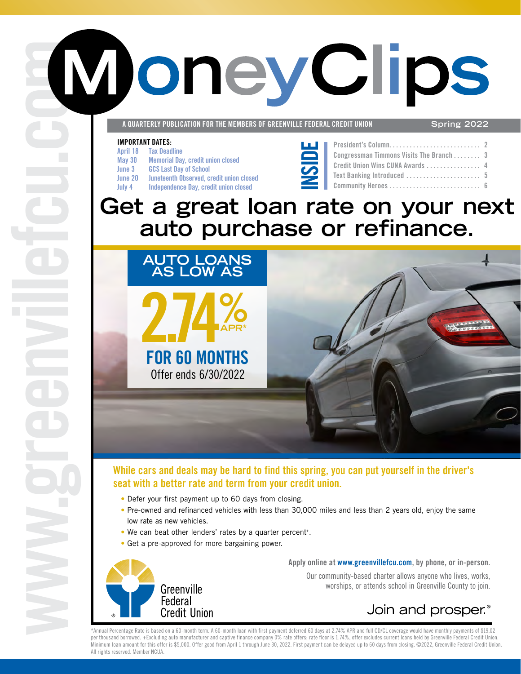# **WoneyClips**

**A QUARTERLY PUBLICATION FOR THE MEMBERS OF GREENVILLE FEDERAL CREDIT UNION Spring 2022**

#### **IMPORTANT DATES:**

**[www.greenvillefcu](http://www.greenvillefcu.com)**

- **April 18 Tax Deadline**
- **May 30 Memorial Day, credit union closed**
- **June 3 GCS Last Day of School**
- 
- **June 20 Juneteenth Observed, credit union closed July 4 Independence Day, credit union closed**
- 



| Congressman Timmons Visits The Branch  3 |  |
|------------------------------------------|--|
| Credit Union Wins CUNA Awards  4         |  |
|                                          |  |
|                                          |  |

### **Get a great loan rate on your next auto purchase or refinance.**



### **While cars and deals may be hard to find this spring, you can put yourself in the driver's seat with a better rate and term from your credit union.**

- Defer your first payment up to 60 days from closing.
- Pre-owned and refinanced vehicles with less than 30,000 miles and less than 2 years old, enjoy the same low rate as new vehicles.
- We can beat other lenders' rates by a quarter percent+.
- Get a pre-approved for more bargaining power.



**Apply online at [www.greenvillefcu.com,](http://www.greenvillefcu.com) by phone, or in-person.** Our community-based charter allows anyone who lives, works,

worships, or attends school in Greenville County to join.

### Join and prosper.<sup>®</sup>

\*Annual Percentage Rate is based on a 60-month term. A 60-month loan with first payment deferred 60 days at 2.74% APR and full CD/CL coverage would have monthly payments of \$19.02 per thousand borrowed. +Excluding auto manufacturer and captive finance company 0% rate offers; rate floor is 1.74%, offer excludes current loans held by Greenville Federal Credit Union. Minimum loan amount for this offer is \$5,000. Offer good from April 1 through June 30, 2022. First payment can be delayed up to 60 days from closing. @2022, Greenville Federal Credit Union. All rights reserved. Member NCUA.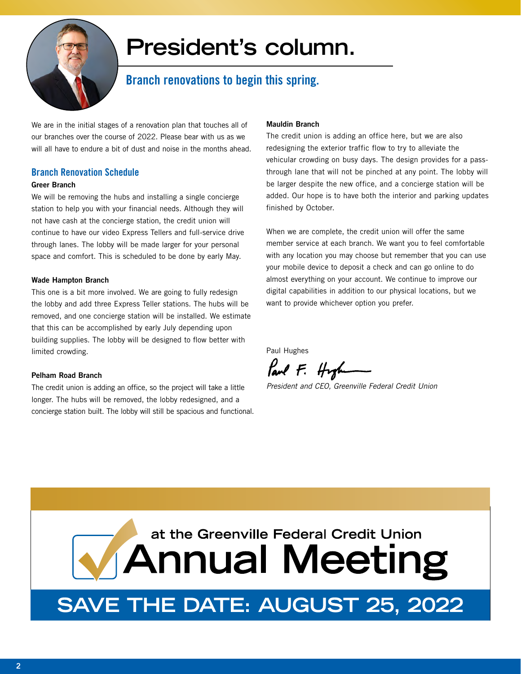

## **President's column.**

### **Branch renovations to begin this spring.**

We are in the initial stages of a renovation plan that touches all of our branches over the course of 2022. Please bear with us as we will all have to endure a bit of dust and noise in the months ahead.

### **Branch Renovation Schedule**

### **Greer Branch**

We will be removing the hubs and installing a single concierge station to help you with your financial needs. Although they will not have cash at the concierge station, the credit union will continue to have our video Express Tellers and full-service drive through lanes. The lobby will be made larger for your personal space and comfort. This is scheduled to be done by early May.

### **Wade Hampton Branch**

This one is a bit more involved. We are going to fully redesign the lobby and add three Express Teller stations. The hubs will be removed, and one concierge station will be installed. We estimate that this can be accomplished by early July depending upon building supplies. The lobby will be designed to flow better with limited crowding.

### **Pelham Road Branch**

The credit union is adding an office, so the project will take a little longer. The hubs will be removed, the lobby redesigned, and a concierge station built. The lobby will still be spacious and functional.

### **Mauldin Branch**

The credit union is adding an office here, but we are also redesigning the exterior traffic flow to try to alleviate the vehicular crowding on busy days. The design provides for a passthrough lane that will not be pinched at any point. The lobby will be larger despite the new office, and a concierge station will be added. Our hope is to have both the interior and parking updates finished by October.

When we are complete, the credit union will offer the same member service at each branch. We want you to feel comfortable with any location you may choose but remember that you can use your mobile device to deposit a check and can go online to do almost everything on your account. We continue to improve our digital capabilities in addition to our physical locations, but we want to provide whichever option you prefer.

Paul Hughes

Paul F. Hyph

*President and CEO, Greenville Federal Credit Union*

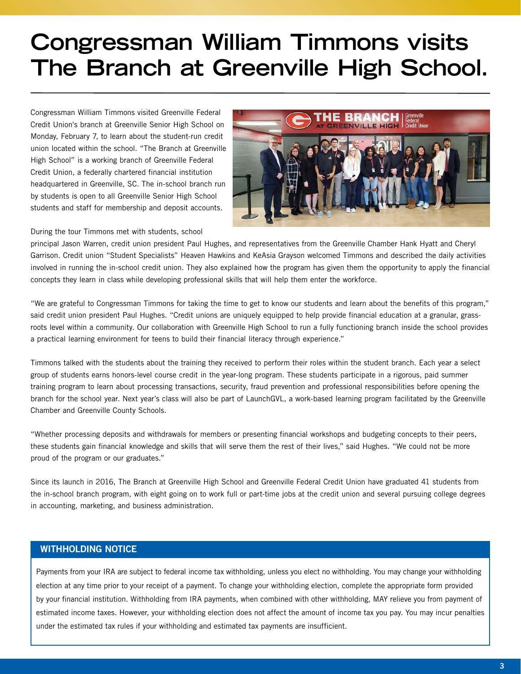## **[Congressman William Timmons visits](https://www.greenvillefcu.com/press-releases/congressman-william-timmons-visits-credit-union-branch-at-greenville-high-school)  The Branch at Greenville High School.**

Congressman William Timmons visited Greenville Federal Credit Union's branch at Greenville Senior High School on Monday, February 7, to learn about the student-run credit union located within the school. "The Branch at Greenville High School" is a working branch of Greenville Federal Credit Union, a federally chartered financial institution headquartered in Greenville, SC. The in-school branch run by students is open to all Greenville Senior High School students and staff for membership and deposit accounts.



During the tour Timmons met with students, school

principal Jason Warren, credit union president Paul Hughes, and representatives from the Greenville Chamber Hank Hyatt and Cheryl Garrison. Credit union "Student Specialists" Heaven Hawkins and KeAsia Grayson welcomed Timmons and described the daily activities [involved in running the in-school credit union. They also explained how the program has given them the opportunity to apply the financial](https://www.greenvillefcu.com/press-releases/congressman-william-timmons-visits-credit-union-branch-at-greenville-high-school)  concepts they learn in class while developing professional skills that will help them enter the workforce.

"We are grateful to Congressman Timmons for taking the time to get to know our students and learn about the benefits of this program," said credit union president Paul Hughes. "Credit unions are uniquely equipped to help provide financial education at a granular, grassroots level within a community. Our collaboration with Greenville High School to run a fully functioning branch inside the school provides a practical learning environment for teens to build their financial literacy through experience."

Timmons talked with the students about the training they received to perform their roles within the student branch. Each year a select group of students earns honors-level course credit in the year-long program. These students participate in a rigorous, paid summer training program to learn about processing transactions, security, fraud prevention and professional responsibilities before opening the branch for the school year. Next year's class will also be part of LaunchGVL, a work-based learning program facilitated by the Greenville Chamber and Greenville County Schools.

"Whether processing deposits and withdrawals for members or presenting financial workshops and budgeting concepts to their peers, these students gain financial knowledge and skills that will serve them the rest of their lives," said Hughes. "We could not be more proud of the program or our graduates."

Since its launch in 2016, The Branch at Greenville High School and Greenville Federal Credit Union have graduated 41 students from the in-school branch program, with eight going on to work full or part-time jobs at the credit union and several pursuing college degrees in accounting, marketing, and business administration.

### **WITHHOLDING NOTICE**

Payments from your IRA are subject to federal income tax withholding, unless you elect no withholding. You may change your withholding election at any time prior to your receipt of a payment. To change your withholding election, complete the appropriate form provided by your financial institution. Withholding from IRA payments, when combined with other withholding, MAY relieve you from payment of estimated income taxes. However, your withholding election does not affect the amount of income tax you pay. You may incur penalties under the estimated tax rules if your withholding and estimated tax payments are insufficient.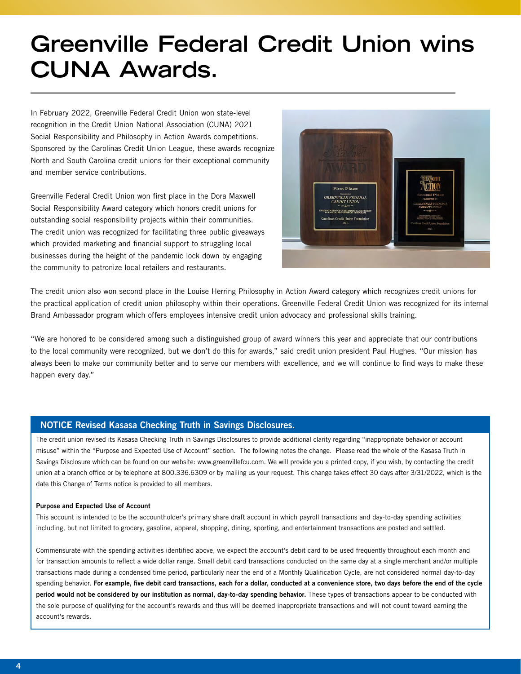### **[Greenville Federal Credit Union wins](https://www.greenvillefcu.com/press-releases/greenville-federal-credit-union-wins-social-responsibility-and-philosophy-in-action-awards)  CUNA Awards.**

In February 2022, Greenville Federal Credit Union won state-level recognition in the Credit Union National Association (CUNA) 2021 Social Responsibility and Philosophy in Action Awards competitions. Sponsored by the Carolinas Credit Union League, these awards recognize North and South Carolina credit unions for their exceptional community and member service contributions.

Greenville Federal Credit Union won first place in the Dora Maxwell Social Responsibility Award category which honors credit unions for outstanding social responsibility projects within their communities. The credit union was recognized for facilitating three public giveaways which provided marketing and financial support to struggling local businesses during the height of the pandemic lock down by engaging the community to patronize local retailers and restaurants.



The credit union also won second place in the Louise Herring Philosophy in Action Award category which recognizes credit unions for [the practical application of credit union philosophy within their operations. Greenville Federal Credit Union was recognized for its internal](https://www.greenvillefcu.com/press-releases/greenville-federal-credit-union-wins-social-responsibility-and-philosophy-in-action-awards)  Brand Ambassador program which offers employees intensive credit union advocacy and professional skills training.

"We are honored to be considered among such a distinguished group of award winners this year and appreciate that our contributions to the local community were recognized, but we don't do this for awards," said credit union president Paul Hughes. "Our mission has always been to make our community better and to serve our members with excellence, and we will continue to find ways to make these happen every day."

### **NOTICE Revised Kasasa Checking Truth in Savings Disclosures.**

The credit union revised its Kasasa Checking Truth in Savings Disclosures to provide additional clarity regarding "inappropriate behavior or account misuse" within the "Purpose and Expected Use of Account" section. The following notes the change. Please read the whole of the Kasasa Truth in Savings Disclosure which can be found on our website: www.greenvillefcu.com. We will provide you a printed copy, if you wish, by contacting the credit union at a branch office or by telephone at 800.336.6309 or by mailing us your request. This change takes effect 30 days after 3/31/2022, which is the date this Change of Terms notice is provided to all members.

#### **Purpose and Expected Use of Account**

This account is intended to be the accountholder's primary share draft account in which payroll transactions and day-to-day spending activities including, but not limited to grocery, gasoline, apparel, shopping, dining, sporting, and entertainment transactions are posted and settled.

Commensurate with the spending activities identified above, we expect the account's debit card to be used frequently throughout each month and for transaction amounts to reflect a wide dollar range. Small debit card transactions conducted on the same day at a single merchant and/or multiple transactions made during a condensed time period, particularly near the end of a Monthly Qualification Cycle, are not considered normal day-to-day spending behavior. **For example, five debit card transactions, each for a dollar, conducted at a convenience store, two days before the end of the cycle period would not be considered by our institution as normal, day-to-day spending behavior.** These types of transactions appear to be conducted with the sole purpose of qualifying for the account's rewards and thus will be deemed inappropriate transactions and will not count toward earning the account's rewards.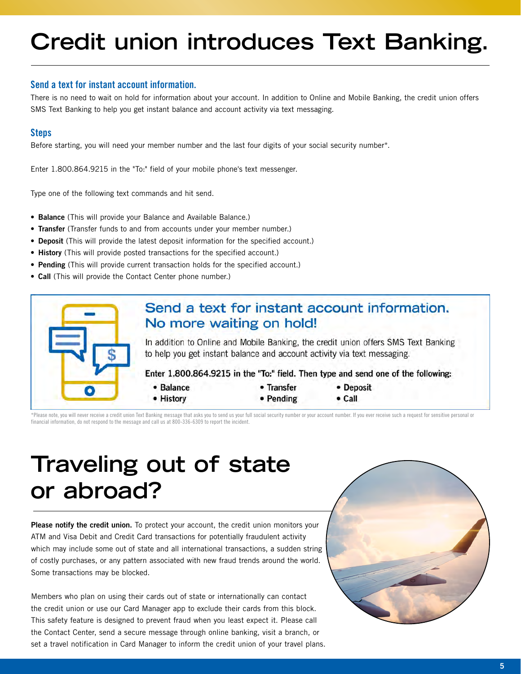# **[Credit union introduces Text Banking.](https://www.greenvillefcu.com/personal/managing-your-accounts/account-management-by-phone/sms-text-banking)**

### **Send a text for instant account information.**

[There is no need to wait on hold for information about your account. In addition to Online and Mobile Banking, the credit union offers](https://www.greenvillefcu.com/personal/managing-your-accounts/account-management-by-phone/sms-text-banking)  SMS Text Banking to help you get instant balance and account activity via text messaging.

### **Steps**

Before starting, you will need your member number and the last four digits of your social security number\*.

Enter 1.800.864.9215 in the "To:" field of your mobile phone's text messenger.

Type one of the following text commands and hit send.

- **• Balance** (This will provide your Balance and Available Balance.)
- **• Transfer** (Transfer funds to and from accounts under your member number.)
- **• Deposit** (This will provide the latest deposit information for the specified account.)
- **• History** (This will provide posted transactions for the specified account.)
- **• Pending** (This will provide current transaction holds for the specified account.)
- **• Call** (This will provide the Contact Center phone number.)



\*Please note, you will never receive a credit union Text Banking message that asks you to send us your full social security number or your account number. If you ever receive such a request for sensitive personal or financial information, do not respond to the message and call us at 800-336-6309 to report the incident.

### **[Traveling out of state](https://www.greenvillefcu.com/blog/2014/06/05/traveling-out-of-state-or-abroad)  or abroad?**

**Please notify the credit union.** To protect your account, the credit union monitors your ATM and Visa Debit and Credit Card transactions for potentially fraudulent activity which may include some out of state and all international transactions, a sudden string of costly purchases, or any pattern associated with new fraud trends around the world. Some transactions may be blocked.

Members who plan on using their cards out of state or internationally can contact the credit union or use our Card Manager app to exclude their cards from this block. This safety feature is designed to prevent fraud when you least expect it. Please call the Contact Center, send a secure message through online banking, visit a branch, or set a travel notification in Card Manager to inform the credit union of your travel plans.

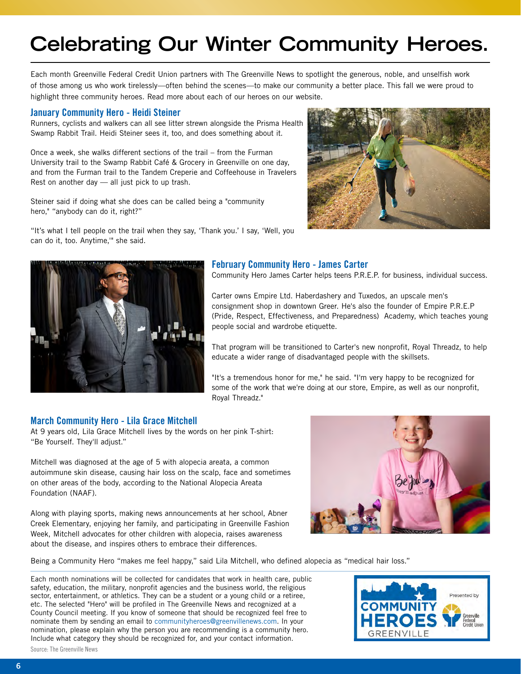### **Celebrating Our Winter Community Heroes.**

Each month Greenville Federal Credit Union partners with The Greenville News to spotlight the generous, noble, and unselfish work of those among us who work tirelessly—often behind the scenes—to make our community a better place. This fall we were proud to highlight three community heroes. Read more about each of our heroes on our [website.](https://www.greenvillefcu.com/news-resources/news/press-releases)

#### **January Community Hero - Heidi Steiner**

Runners, cyclists and walkers can all see litter strewn alongside the Prisma Health Swamp Rabbit Trail. Heidi Steiner sees it, too, and does something about it.

Once a week, she walks different sections of the trail – from the Furman University trail to the Swamp Rabbit Café & Grocery in Greenville on one day, and from the Furman trail to the Tandem Creperie and Coffeehouse in Travelers Rest on another day — all just pick to up trash.

Steiner said if doing what she does can be called being a "community hero," "anybody can do it, right?"

["It's what I tell people on the trail when they say, 'Thank you.' I say, 'Well, you](https://www.greenvillefcu.com/press-releases/credit-union-announces-heidi-steiner-as-the-january-community-hero)  can do it, too. Anytime,'" she said.





#### **February Community Hero - James Carter**

Community Hero James Carter helps teens P.R.E.P. for business, individual success.

Carter owns Empire Ltd. Haberdashery and Tuxedos, an upscale men's consignment shop in downtown Greer. He's also the founder of Empire P.R.E.P [\(Pride, Respect, Effectiveness, and Preparedness\) Academy, which teaches young](https://www.greenvillefcu.com/press-releases/credit-union-announces-james-carter-as-the-february-community-hero)  people social and wardrobe etiquette.

That program will be transitioned to Carter's new nonprofit, Royal Threadz, to help educate a wider range of disadvantaged people with the skillsets.

"It's a tremendous honor for me," he said. "I'm very happy to be recognized for some of the work that we're doing at our store, Empire, as well as our nonprofit, Royal Threadz."

#### **March Community Hero - Lila Grace Mitchell**

At 9 years old, Lila Grace Mitchell lives by the words on her pink T-shirt: "Be Yourself. They'll adjust."

Mitchell was diagnosed at the age of 5 with alopecia areata, a common [autoimmune skin disease, causing hair loss on the scalp, face and sometimes](https://www.greenvillefcu.com/press-releases/credit-union-announces-9-year-old-lila-grace-mitchell-as-the-march-community-hero)  on other areas of the body, according to the National Alopecia Areata Foundation (NAAF).

Along with playing sports, making news announcements at her school, Abner Creek Elementary, enjoying her family, and participating in Greenville Fashion Week, Mitchell advocates for other children with alopecia, raises awareness about the disease, and inspires others to embrace their differences.



Being a Community Hero "makes me feel happy," said Lila Mitchell, who defined alopecia as "medical hair loss."

Each month nominations will be collected for candidates that work in health care, public safety, education, the military, nonprofit agencies and the business world, the religious sector, entertainment, or athletics. They can be a student or a young child or a retiree, etc. The selected "Hero" will be profiled in The Greenville News and recognized at a County Council meeting. If you know of someone that should be recognized feel free to nominate them by sending an email to [communityheroes@greenvillenews.com](mailto:communityheroes%40greenvillenews.com?subject=Greenville%20Community%20Heroes%20Nomination). In your nomination, please explain why the person you are recommending is a community hero. Include what category they should be recognized for, and your contact information.